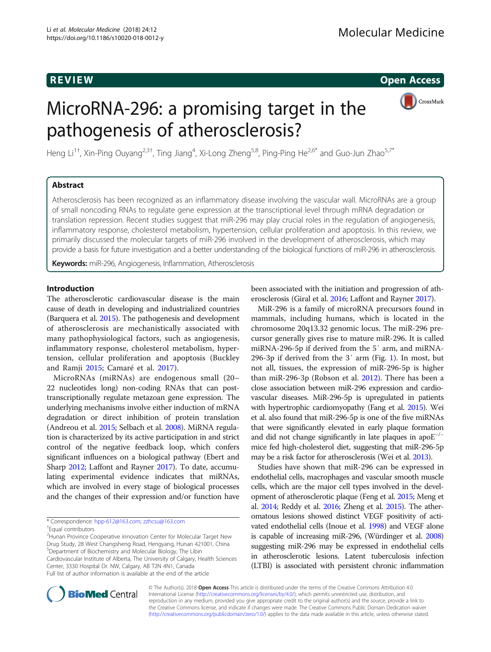R EVI EW Open Access

# MicroRNA-296: a promising target in the pathogenesis of atherosclerosis?



Heng Li<sup>1+</sup>, Xin-Ping Ouyang<sup>2,3†</sup>, Ting Jiang<sup>4</sup>, Xi-Long Zheng<sup>5,8</sup>, Ping-Ping He<sup>2,6\*</sup> and Guo-Jun Zhao<sup>5,7\*</sup>

# Abstract

Atherosclerosis has been recognized as an inflammatory disease involving the vascular wall. MicroRNAs are a group of small noncoding RNAs to regulate gene expression at the transcriptional level through mRNA degradation or translation repression. Recent studies suggest that miR-296 may play crucial roles in the regulation of angiogenesis, inflammatory response, cholesterol metabolism, hypertension, cellular proliferation and apoptosis. In this review, we primarily discussed the molecular targets of miR-296 involved in the development of atherosclerosis, which may provide a basis for future investigation and a better understanding of the biological functions of miR-296 in atherosclerosis.

Keywords: miR-296, Angiogenesis, Inflammation, Atherosclerosis

# Introduction

The atherosclerotic cardiovascular disease is the main cause of death in developing and industrialized countries (Barquera et al. [2015](#page-6-0)). The pathogenesis and development of atherosclerosis are mechanistically associated with many pathophysiological factors, such as angiogenesis, inflammatory response, cholesterol metabolism, hypertension, cellular proliferation and apoptosis (Buckley and Ramji [2015;](#page-6-0) Camaré et al. [2017](#page-6-0)).

MicroRNAs (miRNAs) are endogenous small (20– 22 nucleotides long) non-coding RNAs that can posttranscriptionally regulate metazoan gene expression. The underlying mechanisms involve either induction of mRNA degradation or direct inhibition of protein translation (Andreou et al. [2015;](#page-6-0) Selbach et al. [2008\)](#page-7-0). MiRNA regulation is characterized by its active participation in and strict control of the negative feedback loop, which confers significant influences on a biological pathway (Ebert and Sharp [2012;](#page-6-0) Laffont and Rayner [2017\)](#page-7-0). To date, accumulating experimental evidence indicates that miRNAs, which are involved in every stage of biological processes and the changes of their expression and/or function have

<sup>2</sup> Hunan Province Cooperative innovation Center for Molecular Target New Drug Study, 28 West Changsheng Road, Hengyang, Hunan 421001, China 5 Department of Biochemistry and Molecular Biology, The Libin Cardiovascular Institute of Alberta, The University of Calgary, Health Sciences Center, 3330 Hospital Dr. NW, Calgary, AB T2N 4N1, Canada

Full list of author information is available at the end of the article

been associated with the initiation and progression of atherosclerosis (Giral et al. [2016](#page-7-0); Laffont and Rayner [2017\)](#page-7-0).

MiR-296 is a family of microRNA precursors found in mammals, including humans, which is located in the chromosome 20q13.32 genomic locus. The miR-296 precursor generally gives rise to mature miR-296. It is called miRNA-296-5p if derived from the 5′ arm, and miRNA-296-3p if derived from the 3′ arm (Fig. [1\)](#page-1-0). In most, but not all, tissues, the expression of miR-296-5p is higher than miR-296-3p (Robson et al. [2012](#page-7-0)). There has been a close association between miR-296 expression and cardiovascular diseases. MiR-296-5p is upregulated in patients with hypertrophic cardiomyopathy (Fang et al. [2015](#page-7-0)). Wei et al. also found that miR-296-5p is one of the five miRNAs that were significantly elevated in early plaque formation and did not change significantly in late plaques in apo $E^{-/-}$ mice fed high-cholesterol diet, suggesting that miR-296-5p may be a risk factor for atherosclerosis (Wei et al. [2013\)](#page-7-0).

Studies have shown that miR-296 can be expressed in endothelial cells, macrophages and vascular smooth muscle cells, which are the major cell types involved in the development of atherosclerotic plaque (Feng et al. [2015](#page-7-0); Meng et al. [2014;](#page-7-0) Reddy et al. [2016](#page-7-0); Zheng et al. [2015](#page-7-0)). The atheromatous lesions showed distinct VEGF positivity of activated endothelial cells (Inoue et al. [1998](#page-7-0)) and VEGF alone is capable of increasing miR-296, (Würdinger et al. [2008](#page-7-0)) suggesting miR-296 may be expressed in endothelial cells in atherosclerotic lesions. Latent tuberculosis infection (LTBI) is associated with persistent chronic inflammation



© The Author(s). 2018 Open Access This article is distributed under the terms of the Creative Commons Attribution 4.0 International License [\(http://creativecommons.org/licenses/by/4.0/](http://creativecommons.org/licenses/by/4.0/)), which permits unrestricted use, distribution, and reproduction in any medium, provided you give appropriate credit to the original author(s) and the source, provide a link to the Creative Commons license, and indicate if changes were made. The Creative Commons Public Domain Dedication waiver [\(http://creativecommons.org/publicdomain/zero/1.0/](http://creativecommons.org/publicdomain/zero/1.0/)) applies to the data made available in this article, unless otherwise stated.

<sup>\*</sup> Correspondence: [hpp-612@163.com](mailto:hpp-612@163.com); [zzhcsu@163.com](mailto:zzhcsu@163.com) †

Equal contributors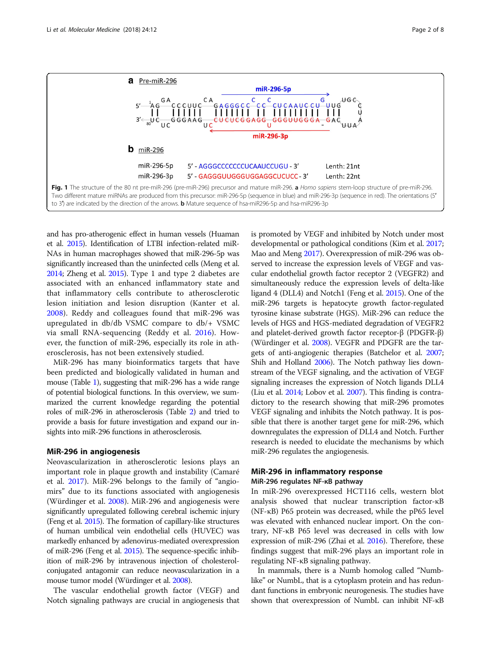<span id="page-1-0"></span>

and has pro-atherogenic effect in human vessels (Huaman et al. [2015](#page-7-0)). Identification of LTBI infection-related miR-NAs in human macrophages showed that miR-296-5p was significantly increased than the uninfected cells (Meng et al. [2014;](#page-7-0) Zheng et al. [2015\)](#page-7-0). Type 1 and type 2 diabetes are associated with an enhanced inflammatory state and that inflammatory cells contribute to atherosclerotic lesion initiation and lesion disruption (Kanter et al. [2008\)](#page-7-0). Reddy and colleagues found that miR-296 was upregulated in db/db VSMC compare to db/+ VSMC via small RNA-sequencing (Reddy et al. [2016\)](#page-7-0). However, the function of miR-296, especially its role in atherosclerosis, has not been extensively studied.

MiR-296 has many bioinformatics targets that have been predicted and biologically validated in human and mouse (Table [1\)](#page-2-0), suggesting that miR-296 has a wide range of potential biological functions. In this overview, we summarized the current knowledge regarding the potential roles of miR-296 in atherosclerosis (Table [2\)](#page-3-0) and tried to provide a basis for future investigation and expand our insights into miR-296 functions in atherosclerosis.

# MiR-296 in angiogenesis

Neovascularization in atherosclerotic lesions plays an important role in plaque growth and instability (Camaré et al. [2017](#page-6-0)). MiR-296 belongs to the family of "angiomirs" due to its functions associated with angiogenesis (Würdinger et al. [2008\)](#page-7-0). MiR-296 and angiogenesis were significantly upregulated following cerebral ischemic injury (Feng et al. [2015](#page-7-0)). The formation of capillary-like structures of human umbilical vein endothelial cells (HUVEC) was markedly enhanced by adenovirus-mediated overexpression of miR-296 (Feng et al. [2015](#page-7-0)). The sequence-specific inhibition of miR-296 by intravenous injection of cholesterolconjugated antagomir can reduce neovascularization in a mouse tumor model (Würdinger et al. [2008](#page-7-0)).

The vascular endothelial growth factor (VEGF) and Notch signaling pathways are crucial in angiogenesis that

is promoted by VEGF and inhibited by Notch under most developmental or pathological conditions (Kim et al. [2017](#page-7-0); Mao and Meng [2017](#page-7-0)). Overexpression of miR-296 was observed to increase the expression levels of VEGF and vascular endothelial growth factor receptor 2 (VEGFR2) and simultaneously reduce the expression levels of delta-like ligand 4 (DLL4) and Notch1 (Feng et al. [2015](#page-7-0)). One of the miR-296 targets is hepatocyte growth factor-regulated tyrosine kinase substrate (HGS). MiR-296 can reduce the levels of HGS and HGS-mediated degradation of VEGFR2 and platelet-derived growth factor receptor-β (PDGFR-β) (Würdinger et al. [2008\)](#page-7-0). VEGFR and PDGFR are the targets of anti-angiogenic therapies (Batchelor et al. [2007](#page-6-0); Shih and Holland [2006\)](#page-7-0). The Notch pathway lies downstream of the VEGF signaling, and the activation of VEGF signaling increases the expression of Notch ligands DLL4 (Liu et al. [2014](#page-7-0); Lobov et al. [2007](#page-7-0)). This finding is contradictory to the research showing that miR-296 promotes VEGF signaling and inhibits the Notch pathway. It is possible that there is another target gene for miR-296, which downregulates the expression of DLL4 and Notch. Further research is needed to elucidate the mechanisms by which miR-296 regulates the angiogenesis.

# MiR-296 in inflammatory response MiR-296 regulates NF-кB pathway

In miR-296 overexpressed HCT116 cells, western blot analysis showed that nuclear transcription factor-κB (NF-κB) P65 protein was decreased, while the pP65 level was elevated with enhanced nuclear import. On the contrary, NF-κB P65 level was decreased in cells with low expression of miR-296 (Zhai et al. [2016\)](#page-7-0). Therefore, these findings suggest that miR-296 plays an important role in regulating NF-κB signaling pathway.

In mammals, there is a Numb homolog called "Numblike" or NumbL, that is a cytoplasm protein and has redundant functions in embryonic neurogenesis. The studies have shown that overexpression of NumbL can inhibit NF-κB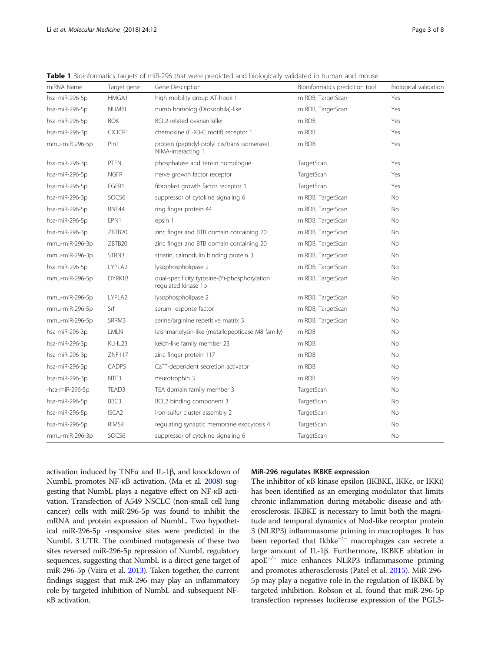| miRNA Name      | Target gene       | Gene Description                                                     | Bioinformatics prediction tool | Biological validation |
|-----------------|-------------------|----------------------------------------------------------------------|--------------------------------|-----------------------|
| hsa-miR-296-5p  | HMGA1             | high mobility group AT-hook 1                                        | miRDB, TargetScan              | Yes                   |
| hsa-miR-296-5p  | <b>NUMBL</b>      | numb homolog (Drosophila)-like                                       | miRDB, TargetScan              | Yes                   |
| hsa-miR-296-5p  | <b>BOK</b>        | BCL2-related ovarian killer                                          | miRDB                          | Yes                   |
| hsa-miR-296-3p  | CX3CR1            | chemokine (C-X3-C motif) receptor 1                                  | miRDB                          | Yes                   |
| mmu-miR-296-5p  | Pin1              | protein (peptidyl-prolyl cis/trans isomerase)<br>NIMA-interacting 1  | miRDB                          | Yes                   |
| hsa-miR-296-3p  | <b>PTEN</b>       | phosphatase and tensin homologue                                     | TargetScan                     | Yes                   |
| hsa-miR-296-5p  | <b>NGFR</b>       | nerve growth factor receptor                                         | TargetScan                     | Yes                   |
| hsa-miR-296-5p  | FGFR1             | fibroblast growth factor receptor 1                                  | TargetScan                     | Yes                   |
| hsa-miR-296-3p  | SOCS6             | suppressor of cytokine signaling 6                                   | miRDB, TargetScan              | No                    |
| hsa-miR-296-5p  | RNF44             | ring finger protein 44                                               | miRDB, TargetScan              | <b>No</b>             |
| hsa-miR-296-5p  | EPN1              | epsin 1                                                              | miRDB, TargetScan              | <b>No</b>             |
| hsa-miR-296-3p  | ZBTB20            | zinc finger and BTB domain containing 20                             | miRDB, TargetScan              | <b>No</b>             |
| mmu-miR-296-3p  | ZBTB20            | zinc finger and BTB domain containing 20                             | miRDB, TargetScan              | N <sub>o</sub>        |
| mmu-miR-296-3p  | STRN3             | striatin, calmodulin binding protein 3                               | miRDB, TargetScan              | <b>No</b>             |
| hsa-miR-296-5p  | LYPLA2            | lysophospholipase 2                                                  | miRDB, TargetScan              | <b>No</b>             |
| mmu-miR-296-5p  | DYRK1B            | dual-specificity tyrosine-(Y)-phosphorylation<br>regulated kinase 1b | miRDB, TargetScan              | <b>No</b>             |
| mmu-miR-296-5p  | LYPLA2            | lysophospholipase 2                                                  | miRDB, TargetScan              | No                    |
| mmu-miR-296-5p  | Srf               | serum response factor                                                | miRDB, TargetScan              | <b>No</b>             |
| mmu-miR-296-5p  | SRRM3             | serine/arginine repetitive matrix 3                                  | miRDB, TargetScan              | No                    |
| hsa-miR-296-3p  | <b>LMLN</b>       | leishmanolysin-like (metallopeptidase M8 family)                     | miRDB                          | <b>No</b>             |
| hsa-miR-296-3p  | KLHL23            | kelch-like family member 23                                          | miRDB                          | No                    |
| hsa-miR-296-3p  | ZNF117            | zinc finger protein 117                                              | miRDB                          | No                    |
| hsa-miR-296-3p  | <b>CADPS</b>      | Ca <sup>++</sup> -dependent secretion activator                      | miRDB                          | <b>No</b>             |
| hsa-miR-296-3p  | NTF3              | neurotrophin 3                                                       | miRDB                          | No                    |
| -hsa-miR-296-5p | TEAD3             | TEA domain family member 3                                           | TargetScan                     | No                    |
| hsa-miR-296-5p  | BBC3              | BCL2 binding component 3                                             | TargetScan                     | No                    |
| hsa-miR-296-5p  | ISCA <sub>2</sub> | iron-sulfur cluster assembly 2                                       | TargetScan                     | No                    |
| hsa-miR-296-5p  | RIMS4             | regulating synaptic membrane exocytosis 4                            | TargetScan                     | <b>No</b>             |
| mmu-miR-296-3p  | SOCS6             | suppressor of cytokine signaling 6                                   | TargetScan                     | No                    |

<span id="page-2-0"></span>Table 1 Bioinformatics targets of miR-296 that were predicted and biologically validated in human and mouse

activation induced by TNFα and IL-1β, and knockdown of NumbL promotes NF-κB activation, (Ma et al. [2008](#page-7-0)) suggesting that NumbL plays a negative effect on NF-κB activation. Transfection of A549 NSCLC (non-small cell lung cancer) cells with miR-296-5p was found to inhibit the mRNA and protein expression of NumbL. Two hypothetical miR-296-5p -responsive sites were predicted in the NumbL 3′UTR. The combined mutagenesis of these two sites reversed miR-296-5p repression of NumbL regulatory sequences, suggesting that NumbL is a direct gene target of miR-296-5p (Vaira et al. [2013](#page-7-0)). Taken together, the current findings suggest that miR-296 may play an inflammatory role by targeted inhibition of NumbL and subsequent NFκB activation.

# MiR-296 regulates IKBKE expression

The inhibitor of κB kinase epsilon (IKBKE, IKKε, or IKKi) has been identified as an emerging modulator that limits chronic inflammation during metabolic disease and atherosclerosis. IKBKE is necessary to limit both the magnitude and temporal dynamics of Nod-like receptor protein 3 (NLRP3) inflammasome priming in macrophages. It has been reported that Ikbke−/<sup>−</sup> macrophages can secrete a large amount of IL-1β. Furthermore, IKBKE ablation in apoE−/<sup>−</sup> mice enhances NLRP3 inflammasome priming and promotes atherosclerosis (Patel et al. [2015\)](#page-7-0). MiR-296- 5p may play a negative role in the regulation of IKBKE by targeted inhibition. Robson et al. found that miR-296-5p transfection represses luciferase expression of the PGL3-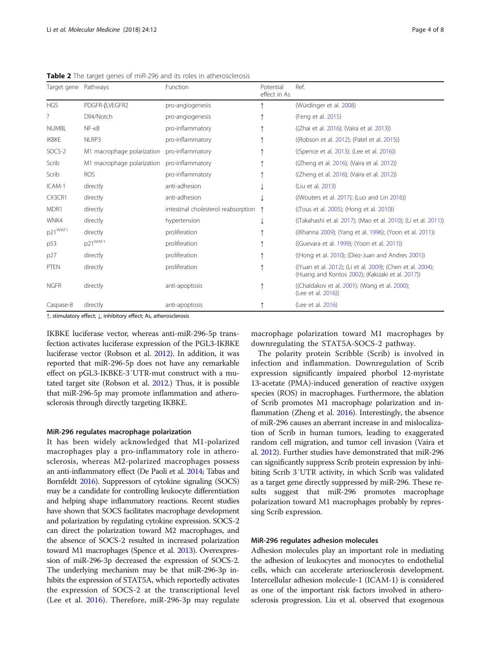| Target gene Pathways |                            | Function                            | Potential<br>effect in As | Ref.                                                                                                           |
|----------------------|----------------------------|-------------------------------------|---------------------------|----------------------------------------------------------------------------------------------------------------|
| <b>HGS</b>           | PDGFR-B, VEGFR2            | pro-angiogenesis                    |                           | (Würdinger et al. 2008)                                                                                        |
| ?                    | DII4/Notch                 | pro-angiogenesis                    |                           | (Feng et al. 2015)                                                                                             |
| <b>NUMBL</b>         | $NF - KB$                  | pro-inflammatory                    |                           | ((Zhai et al. 2016); (Vaira et al. 2013))                                                                      |
| <b>IKBKE</b>         | NLRP3                      | pro-inflammatory                    |                           | ((Robson et al. 2012); (Patel et al. 2015))                                                                    |
| SOCS-2               | M1 macrophage polarization | pro-inflammatory                    |                           | ((Spence et al. 2013); (Lee et al. 2016))                                                                      |
| Scrib                | M1 macrophage polarization | pro-inflammatory                    |                           | ((Zheng et al. 2016); (Vaira et al. 2012))                                                                     |
| Scrib                | <b>ROS</b>                 | pro-inflammatory                    |                           | ((Zheng et al. 2016); (Vaira et al. 2012))                                                                     |
| ICAM-1               | directly                   | anti-adhesion                       |                           | (Liu et al. 2013)                                                                                              |
| CX3CR1               | directly                   | anti-adhesion                       |                           | ((Wouters et al. 2017); (Luo and Lin 2016))                                                                    |
| MDR1                 | directly                   | intestinal cholesterol reabsorption |                           | (Tous et al. 2005); (Hong et al. 2010))                                                                        |
| WNK4                 | directly                   | hypertension                        |                           | ((Takahashi et al. 2017); (Mao et al. 2010); (Li et al. 2011))                                                 |
| p21 <sup>WAF1</sup>  | directly                   | proliferation                       |                           | ((Khanna 2009); (Yang et al. 1996); (Yoon et al. 2011))                                                        |
| p53                  | p21 <sup>WAF1</sup>        | proliferation                       |                           | (Guevara et al. 1999); (Yoon et al. 2011))                                                                     |
| p27                  | directly                   | proliferation                       |                           | ((Hong et al. 2010); (Diez-Juan and Andres 2001))                                                              |
| <b>PTEN</b>          | directly                   | proliferation                       |                           | ((Yuan et al. 2012); (Li et al. 2009); (Chen et al. 2004);<br>(Huang and Kontos 2002); (Kakizaki et al. 2017)) |
| <b>NGFR</b>          | directly                   | anti-apoptosis                      |                           | ((Chaldakov et al. 2001); (Wang et al. 2000);<br>(Lee et al. 2016))                                            |
| Caspase-8            | directly                   | anti-apoptosis                      |                           | (Lee et al. 2016)                                                                                              |

<span id="page-3-0"></span>Table 2 The target genes of miR-296 and its roles in atherosclerosis

↑, stimulatory effect; ↓, inhibitory effect; As, atherosclerosis

IKBKE luciferase vector, whereas anti-miR-296-5p transfection activates luciferase expression of the PGL3-IKBKE luciferase vector (Robson et al. [2012](#page-7-0)). In addition, it was reported that miR-296-5p does not have any remarkable effect on pGL3-IKBKE-3′UTR-mut construct with a mutated target site (Robson et al. [2012.](#page-7-0)) Thus, it is possible that miR-296-5p may promote inflammation and atherosclerosis through directly targeting IKBKE.

### MiR-296 regulates macrophage polarization

It has been widely acknowledged that M1-polarized macrophages play a pro-inflammatory role in atherosclerosis, whereas M2-polarized macrophages possess an anti-inflammatory effect (De Paoli et al. [2014;](#page-6-0) Tabas and Bornfeldt [2016\)](#page-7-0). Suppressors of cytokine signaling (SOCS) may be a candidate for controlling leukocyte differentiation and helping shape inflammatory reactions. Recent studies have shown that SOCS facilitates macrophage development and polarization by regulating cytokine expression. SOCS-2 can direct the polarization toward M2 macrophages, and the absence of SOCS-2 resulted in increased polarization toward M1 macrophages (Spence et al. [2013](#page-7-0)). Overexpression of miR-296-3p decreased the expression of SOCS-2. The underlying mechanism may be that miR-296-3p inhibits the expression of STAT5A, which reportedly activates the expression of SOCS-2 at the transcriptional level (Lee et al. [2016\)](#page-7-0). Therefore, miR-296-3p may regulate

macrophage polarization toward M1 macrophages by downregulating the STAT5A-SOCS-2 pathway.

The polarity protein Scribble (Scrib) is involved in infection and inflammation. Downregulation of Scrib expression significantly impaired phorbol 12-myristate 13-acetate (PMA)-induced generation of reactive oxygen species (ROS) in macrophages. Furthermore, the ablation of Scrib promotes M1 macrophage polarization and inflammation (Zheng et al. [2016\)](#page-7-0). Interestingly, the absence of miR-296 causes an aberrant increase in and mislocalization of Scrib in human tumors, leading to exaggerated random cell migration, and tumor cell invasion (Vaira et al. [2012\)](#page-7-0). Further studies have demonstrated that miR-296 can significantly suppress Scrib protein expression by inhibiting Scrib 3′UTR activity, in which Scrib was validated as a target gene directly suppressed by miR-296. These results suggest that miR-296 promotes macrophage polarization toward M1 macrophages probably by repressing Scrib expression.

# MiR-296 regulates adhesion molecules

Adhesion molecules play an important role in mediating the adhesion of leukocytes and monocytes to endothelial cells, which can accelerate arteriosclerosis development. Intercellular adhesion molecule-1 (ICAM-1) is considered as one of the important risk factors involved in atherosclerosis progression. Liu et al. observed that exogenous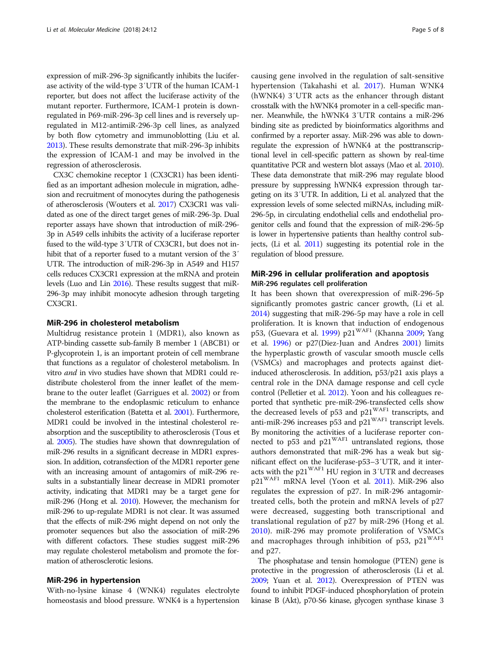expression of miR-296-3p significantly inhibits the luciferase activity of the wild-type 3′UTR of the human ICAM-1 reporter, but does not affect the luciferase activity of the mutant reporter. Furthermore, ICAM-1 protein is downregulated in P69-miR-296-3p cell lines and is reversely upregulated in M12-antimiR-296-3p cell lines, as analyzed by both flow cytometry and immunoblotting (Liu et al. [2013\)](#page-7-0). These results demonstrate that miR-296-3p inhibits the expression of ICAM-1 and may be involved in the regression of atherosclerosis.

CX3C chemokine receptor 1 (CX3CR1) has been identified as an important adhesion molecule in migration, adhesion and recruitment of monocytes during the pathogenesis of atherosclerosis (Wouters et al. [2017\)](#page-7-0) CX3CR1 was validated as one of the direct target genes of miR-296-3p. Dual reporter assays have shown that introduction of miR-296- 3p in A549 cells inhibits the activity of a luciferase reporter fused to the wild-type 3′UTR of CX3CR1, but does not inhibit that of a reporter fused to a mutant version of the 3′ UTR. The introduction of miR-296-3p in A549 and H157 cells reduces CX3CR1 expression at the mRNA and protein levels (Luo and Lin [2016](#page-7-0)). These results suggest that miR-296-3p may inhibit monocyte adhesion through targeting CX3CR1.

# MiR-296 in cholesterol metabolism

Multidrug resistance protein 1 (MDR1), also known as ATP-binding cassette sub-family B member 1 (ABCB1) or P-glycoprotein 1, is an important protein of cell membrane that functions as a regulator of cholesterol metabolism. In vitro and in vivo studies have shown that MDR1 could redistribute cholesterol from the inner leaflet of the membrane to the outer leaflet (Garrigues et al. [2002](#page-7-0)) or from the membrane to the endoplasmic reticulum to enhance cholesterol esterification (Batetta et al. [2001](#page-6-0)). Furthermore, MDR1 could be involved in the intestinal cholesterol reabsorption and the susceptibility to atherosclerosis (Tous et al. [2005](#page-7-0)). The studies have shown that downregulation of miR-296 results in a significant decrease in MDR1 expression. In addition, cotransfection of the MDR1 reporter gene with an increasing amount of antagomirs of miR-296 results in a substantially linear decrease in MDR1 promoter activity, indicating that MDR1 may be a target gene for miR-296 (Hong et al. [2010](#page-7-0)). However, the mechanism for miR-296 to up-regulate MDR1 is not clear. It was assumed that the effects of miR-296 might depend on not only the promoter sequences but also the association of miR-296 with different cofactors. These studies suggest miR-296 may regulate cholesterol metabolism and promote the formation of atherosclerotic lesions.

# MiR-296 in hypertension

With-no-lysine kinase 4 (WNK4) regulates electrolyte homeostasis and blood pressure. WNK4 is a hypertension

causing gene involved in the regulation of salt-sensitive hypertension (Takahashi et al. [2017\)](#page-7-0). Human WNK4 (hWNK4) 3′UTR acts as the enhancer through distant crosstalk with the hWNK4 promoter in a cell-specific manner. Meanwhile, the hWNK4 3′UTR contains a miR-296 binding site as predicted by bioinformatics algorithms and confirmed by a reporter assay. MiR-296 was able to downregulate the expression of hWNK4 at the posttranscriptional level in cell-specific pattern as shown by real-time quantitative PCR and western blot assays (Mao et al. [2010](#page-7-0)). These data demonstrate that miR-296 may regulate blood pressure by suppressing hWNK4 expression through targeting on its 3′UTR. In addition, Li et al. analyzed that the expression levels of some selected miRNAs, including miR-296-5p, in circulating endothelial cells and endothelial progenitor cells and found that the expression of miR-296-5p is lower in hypertensive patients than healthy control subjects, (Li et al. [2011](#page-7-0)) suggesting its potential role in the regulation of blood pressure.

# MiR-296 in cellular proliferation and apoptosis MiR-296 regulates cell proliferation

It has been shown that overexpression of miR-296-5p significantly promotes gastric cancer growth, (Li et al. [2014](#page-7-0)) suggesting that miR-296-5p may have a role in cell proliferation. It is known that induction of endogenous p53, (Guevara et al. [1999\)](#page-7-0) p21<sup>WAF1</sup> (Khanna [2009;](#page-7-0) Yang et al. [1996](#page-7-0)) or p27(Diez-Juan and Andres [2001\)](#page-6-0) limits the hyperplastic growth of vascular smooth muscle cells (VSMCs) and macrophages and protects against dietinduced atherosclerosis. In addition, p53/p21 axis plays a central role in the DNA damage response and cell cycle control (Pelletier et al. [2012](#page-7-0)). Yoon and his colleagues reported that synthetic pre-miR-296-transfected cells show the decreased levels of p53 and  $p21^{WAF1}$  transcripts, and anti-miR-296 increases p53 and  $p21^{WAF1}$  transcript levels. By monitoring the activities of a luciferase reporter connected to  $p53$  and  $p21^{WAF1}$  untranslated regions, those authors demonstrated that miR-296 has a weak but significant effect on the luciferase-p53–3′UTR, and it interacts with the p21WAF1 HU region in 3′UTR and decreases p21WAF1 mRNA level (Yoon et al. [2011](#page-7-0)). MiR-296 also regulates the expression of p27. In miR-296 antagomirtreated cells, both the protein and mRNA levels of p27 were decreased, suggesting both transcriptional and translational regulation of p27 by miR-296 (Hong et al. [2010\)](#page-7-0). miR-296 may promote proliferation of VSMCs and macrophages through inhibition of p53,  $p21^{WAF1}$ and p27.

The phosphatase and tensin homologue (PTEN) gene is protective in the progression of atherosclerosis (Li et al. [2009;](#page-7-0) Yuan et al. [2012](#page-7-0)). Overexpression of PTEN was found to inhibit PDGF-induced phosphorylation of protein kinase B (Akt), p70-S6 kinase, glycogen synthase kinase 3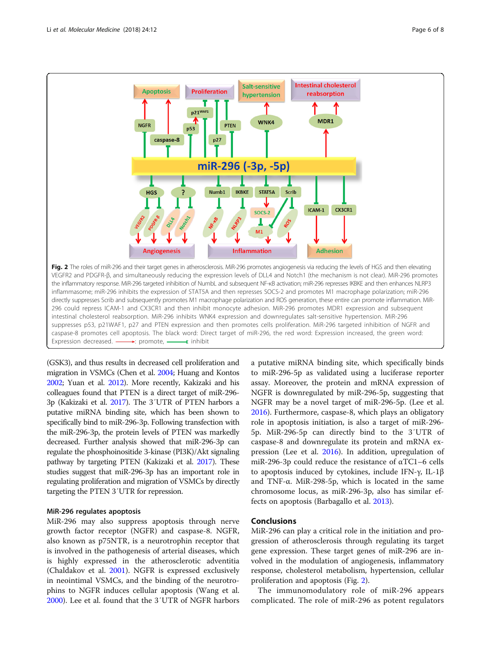

(GSK3), and thus results in decreased cell proliferation and migration in VSMCs (Chen et al. [2004](#page-6-0); Huang and Kontos [2002;](#page-7-0) Yuan et al. [2012](#page-7-0)). More recently, Kakizaki and his colleagues found that PTEN is a direct target of miR-296- 3p (Kakizaki et al. [2017\)](#page-7-0). The 3′UTR of PTEN harbors a putative miRNA binding site, which has been shown to specifically bind to miR-296-3p. Following transfection with the miR-296-3p, the protein levels of PTEN was markedly decreased. Further analysis showed that miR-296-3p can regulate the phosphoinositide 3-kinase (PI3K)/Akt signaling pathway by targeting PTEN (Kakizaki et al. [2017\)](#page-7-0). These studies suggest that miR-296-3p has an important role in regulating proliferation and migration of VSMCs by directly targeting the PTEN 3′UTR for repression.

# MiR-296 regulates apoptosis

MiR-296 may also suppress apoptosis through nerve growth factor receptor (NGFR) and caspase-8. NGFR, also known as p75NTR, is a neurotrophin receptor that is involved in the pathogenesis of arterial diseases, which is highly expressed in the atherosclerotic adventitia (Chaldakov et al. [2001](#page-6-0)). NGFR is expressed exclusively in neointimal VSMCs, and the binding of the neurotrophins to NGFR induces cellular apoptosis (Wang et al. [2000](#page-7-0)). Lee et al. found that the 3′UTR of NGFR harbors

a putative miRNA binding site, which specifically binds to miR-296-5p as validated using a luciferase reporter assay. Moreover, the protein and mRNA expression of NGFR is downregulated by miR-296-5p, suggesting that NGFR may be a novel target of miR-296-5p. (Lee et al. [2016](#page-7-0)). Furthermore, caspase-8, which plays an obligatory role in apoptosis initiation, is also a target of miR-296- 5p. MiR-296-5p can directly bind to the 3′UTR of caspase-8 and downregulate its protein and mRNA expression (Lee et al. [2016\)](#page-7-0). In addition, upregulation of miR-296-3p could reduce the resistance of αTC1–6 cells to apoptosis induced by cytokines, include IFN-γ, IL-1β and TNF-α. MiR-298-5p, which is located in the same chromosome locus, as miR-296-3p, also has similar effects on apoptosis (Barbagallo et al. [2013](#page-6-0)).

# **Conclusions**

MiR-296 can play a critical role in the initiation and progression of atherosclerosis through regulating its target gene expression. These target genes of miR-296 are involved in the modulation of angiogenesis, inflammatory response, cholesterol metabolism, hypertension, cellular proliferation and apoptosis (Fig. 2).

The immunomodulatory role of miR-296 appears complicated. The role of miR-296 as potent regulators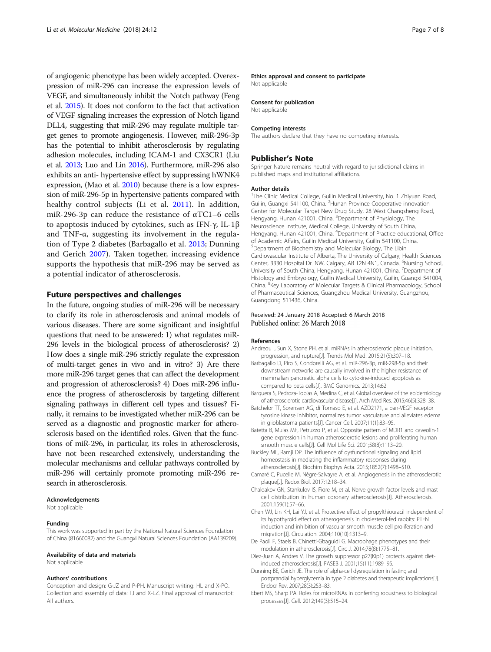<span id="page-6-0"></span>of angiogenic phenotype has been widely accepted. Overexpression of miR-296 can increase the expression levels of VEGF, and simultaneously inhibit the Notch pathway (Feng et al. [2015\)](#page-7-0). It does not conform to the fact that activation of VEGF signaling increases the expression of Notch ligand DLL4, suggesting that miR-296 may regulate multiple target genes to promote angiogenesis. However, miR-296-3p has the potential to inhibit atherosclerosis by regulating adhesion molecules, including ICAM-1 and CX3CR1 (Liu et al. [2013;](#page-7-0) Luo and Lin [2016\)](#page-7-0). Furthermore, miR-296 also exhibits an anti- hypertensive effect by suppressing hWNK4 expression, (Mao et al. [2010\)](#page-7-0) because there is a low expression of miR-296-5p in hypertensive patients compared with healthy control subjects (Li et al. [2011](#page-7-0)). In addition, miR-296-3p can reduce the resistance of αTC1–6 cells to apoptosis induced by cytokines, such as IFN-γ, IL-1β and TNF- $\alpha$ , suggesting its involvement in the regulation of Type 2 diabetes (Barbagallo et al. 2013; Dunning and Gerich 2007). Taken together, increasing evidence supports the hypothesis that miR-296 may be served as a potential indicator of atherosclerosis.

# Future perspectives and challenges

In the future, ongoing studies of miR-296 will be necessary to clarify its role in atherosclerosis and animal models of various diseases. There are some significant and insightful questions that need to be answered: 1) what regulates miR-296 levels in the biological process of atherosclerosis? 2) How does a single miR-296 strictly regulate the expression of multi-target genes in vivo and in vitro? 3) Are there more miR-296 target genes that can affect the development and progression of atherosclerosis? 4) Does miR-296 influence the progress of atherosclerosis by targeting different signaling pathways in different cell types and tissues? Finally, it remains to be investigated whether miR-296 can be served as a diagnostic and prognostic marker for atherosclerosis based on the identified roles. Given that the functions of miR-296, in particular, its roles in atherosclerosis, have not been researched extensively, understanding the molecular mechanisms and cellular pathways controlled by miR-296 will certainly promote promoting miR-296 research in atherosclerosis.

### Acknowledgements

Not applicable

#### Funding

This work was supported in part by the National Natural Sciences Foundation of China (81660082) and the Guangxi Natural Sciences Foundation (AA139209).

#### Availability of data and materials

Not applicable

# Authors' contributions

Conception and design: G-JZ and P-PH. Manuscript writing: HL and X-PO. Collection and assembly of data: TJ and X-LZ. Final approval of manuscript: All authors.

#### Ethics approval and consent to participate

Not applicable

### Consent for publication

Not applicable

#### Competing interests

The authors declare that they have no competing interests.

#### Publisher's Note

Springer Nature remains neutral with regard to jurisdictional claims in published maps and institutional affiliations.

#### Author details

<sup>1</sup>The Clinic Medical College, Guilin Medical University, No. 1 Zhiyuan Road Guilin, Guangxi 541100, China. <sup>2</sup> Hunan Province Cooperative innovation Center for Molecular Target New Drug Study, 28 West Changsheng Road, Hengyang, Hunan 421001, China. <sup>3</sup>Department of Physiology, The Neuroscience Institute, Medical College, University of South China, Hengyang, Hunan 421001, China. <sup>4</sup>Department of Practice educational, Office of Academic Affairs, Guilin Medical University, Guilin 541100, China. 5 Department of Biochemistry and Molecular Biology, The Libin Cardiovascular Institute of Alberta, The University of Calgary, Health Sciences Center, 3330 Hospital Dr. NW, Calgary, AB T2N 4N1, Canada. <sup>6</sup>Nursing School, University of South China, Hengyang, Hunan 421001, China. <sup>7</sup>Department of Histology and Embryology, Guilin Medical University, Guilin, Guangxi 541004, China. <sup>8</sup>Key Laboratory of Molecular Targets & Clinical Pharmacology, School of Pharmaceutical Sciences, Guangzhou Medical University, Guangzhou, Guangdong 511436, China.

# Received: 24 January 2018 Accepted: 6 March 2018 Published online: 26 March 2018

#### References

- Andreou I, Sun X, Stone PH, et al. miRNAs in atherosclerotic plaque initiation, progression, and rupture[J]. Trends Mol Med. 2015;21(5):307–18.
- Barbagallo D, Piro S, Condorelli AG, et al. miR-296-3p, miR-298-5p and their downstream networks are causally involved in the higher resistance of mammalian pancreatic alpha cells to cytokine-induced apoptosis as compared to beta cells[J]. BMC Genomics. 2013;14:62.
- Barquera S, Pedroza-Tobias A, Medina C, et al. Global overview of the epidemiology of atherosclerotic cardiovascular disease[J]. Arch Med Res. 2015;46(5):328–38.
- Batchelor TT, Sorensen AG, di Tomaso E, et al. AZD2171, a pan-VEGF receptor tyrosine kinase inhibitor, normalizes tumor vasculature and alleviates edema in glioblastoma patients[J]. Cancer Cell. 2007;11(1):83–95.
- Batetta B, Mulas MF, Petruzzo P, et al. Opposite pattern of MDR1 and caveolin-1 gene expression in human atherosclerotic lesions and proliferating human smooth muscle cells[J]. Cell Mol Life Sci. 2001;58(8):1113–20.
- Buckley ML, Ramji DP. The influence of dysfunctional signaling and lipid homeostasis in mediating the inflammatory responses during atherosclerosis[J]. Biochim Biophys Acta. 2015;1852(7):1498–510.
- Camaré C, Pucelle M, Nègre-Salvayre A, et al. Angiogenesis in the atherosclerotic plaque[J]. Redox Biol. 2017;12:18–34.
- Chaldakov GN, Stankulov IS, Fiore M, et al. Nerve growth factor levels and mast cell distribution in human coronary atherosclerosis[J]. Atherosclerosis. 2001;159(1):57–66.
- Chen WJ, Lin KH, Lai YJ, et al. Protective effect of propylthiouracil independent of its hypothyroid effect on atherogenesis in cholesterol-fed rabbits: PTEN induction and inhibition of vascular smooth muscle cell proliferation and migration[J]. Circulation. 2004;110(10):1313–9.
- De Paoli F, Staels B, Chinetti-Gbaguidi G. Macrophage phenotypes and their modulation in atherosclerosis[J]. Circ J. 2014;78(8):1775–81.
- Diez-Juan A, Andres V. The growth suppressor p27(Kip1) protects against dietinduced atherosclerosis[J]. FASEB J. 2001;15(11):1989–95.
- Dunning BE, Gerich JE. The role of alpha-cell dysregulation in fasting and postprandial hyperglycemia in type 2 diabetes and therapeutic implications[J]. Endocr Rev. 2007;28(3):253–83.
- Ebert MS, Sharp PA. Roles for microRNAs in conferring robustness to biological processes[J]. Cell. 2012;149(3):515–24.